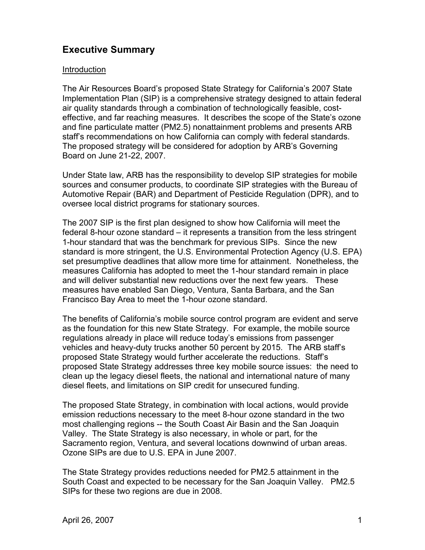# **Executive Summary**

#### Introduction

The Air Resources Board's proposed State Strategy for California's 2007 State Implementation Plan (SIP) is a comprehensive strategy designed to attain federal air quality standards through a combination of technologically feasible, costeffective, and far reaching measures. It describes the scope of the State's ozone and fine particulate matter (PM2.5) nonattainment problems and presents ARB staff's recommendations on how California can comply with federal standards. The proposed strategy will be considered for adoption by ARB's Governing Board on June 21-22, 2007.

Under State law, ARB has the responsibility to develop SIP strategies for mobile sources and consumer products, to coordinate SIP strategies with the Bureau of Automotive Repair (BAR) and Department of Pesticide Regulation (DPR), and to oversee local district programs for stationary sources.

The 2007 SIP is the first plan designed to show how California will meet the federal 8-hour ozone standard – it represents a transition from the less stringent 1-hour standard that was the benchmark for previous SIPs. Since the new standard is more stringent, the U.S. Environmental Protection Agency (U.S. EPA) set presumptive deadlines that allow more time for attainment. Nonetheless, the measures California has adopted to meet the 1-hour standard remain in place and will deliver substantial new reductions over the next few years. These measures have enabled San Diego, Ventura, Santa Barbara, and the San Francisco Bay Area to meet the 1-hour ozone standard.

The benefits of California's mobile source control program are evident and serve as the foundation for this new State Strategy. For example, the mobile source regulations already in place will reduce today's emissions from passenger vehicles and heavy-duty trucks another 50 percent by 2015. The ARB staff's proposed State Strategy would further accelerate the reductions. Staff's proposed State Strategy addresses three key mobile source issues: the need to clean up the legacy diesel fleets, the national and international nature of many diesel fleets, and limitations on SIP credit for unsecured funding.

The proposed State Strategy, in combination with local actions, would provide emission reductions necessary to the meet 8-hour ozone standard in the two most challenging regions -- the South Coast Air Basin and the San Joaquin Valley. The State Strategy is also necessary, in whole or part, for the Sacramento region, Ventura, and several locations downwind of urban areas. Ozone SIPs are due to U.S. EPA in June 2007.

The State Strategy provides reductions needed for PM2.5 attainment in the South Coast and expected to be necessary for the San Joaquin Valley. PM2.5 SIPs for these two regions are due in 2008.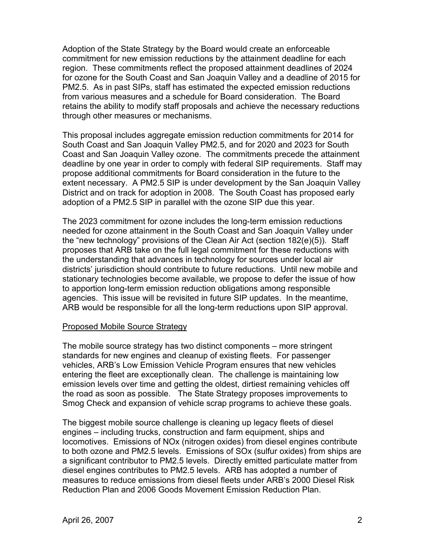Adoption of the State Strategy by the Board would create an enforceable commitment for new emission reductions by the attainment deadline for each region. These commitments reflect the proposed attainment deadlines of 2024 for ozone for the South Coast and San Joaquin Valley and a deadline of 2015 for PM2.5. As in past SIPs, staff has estimated the expected emission reductions from various measures and a schedule for Board consideration. The Board retains the ability to modify staff proposals and achieve the necessary reductions through other measures or mechanisms.

This proposal includes aggregate emission reduction commitments for 2014 for South Coast and San Joaquin Valley PM2.5, and for 2020 and 2023 for South Coast and San Joaquin Valley ozone. The commitments precede the attainment deadline by one year in order to comply with federal SIP requirements. Staff may propose additional commitments for Board consideration in the future to the extent necessary. A PM2.5 SIP is under development by the San Joaquin Valley District and on track for adoption in 2008. The South Coast has proposed early adoption of a PM2.5 SIP in parallel with the ozone SIP due this year.

The 2023 commitment for ozone includes the long-term emission reductions needed for ozone attainment in the South Coast and San Joaquin Valley under the "new technology" provisions of the Clean Air Act (section 182(e)(5)). Staff proposes that ARB take on the full legal commitment for these reductions with the understanding that advances in technology for sources under local air districts' jurisdiction should contribute to future reductions. Until new mobile and stationary technologies become available, we propose to defer the issue of how to apportion long-term emission reduction obligations among responsible agencies. This issue will be revisited in future SIP updates. In the meantime, ARB would be responsible for all the long-term reductions upon SIP approval.

#### Proposed Mobile Source Strategy

The mobile source strategy has two distinct components – more stringent standards for new engines and cleanup of existing fleets. For passenger vehicles, ARB's Low Emission Vehicle Program ensures that new vehicles entering the fleet are exceptionally clean. The challenge is maintaining low emission levels over time and getting the oldest, dirtiest remaining vehicles off the road as soon as possible. The State Strategy proposes improvements to Smog Check and expansion of vehicle scrap programs to achieve these goals.

The biggest mobile source challenge is cleaning up legacy fleets of diesel engines – including trucks, construction and farm equipment, ships and locomotives. Emissions of NOx (nitrogen oxides) from diesel engines contribute to both ozone and PM2.5 levels. Emissions of SOx (sulfur oxides) from ships are a significant contributor to PM2.5 levels. Directly emitted particulate matter from diesel engines contributes to PM2.5 levels. ARB has adopted a number of measures to reduce emissions from diesel fleets under ARB's 2000 Diesel Risk Reduction Plan and 2006 Goods Movement Emission Reduction Plan.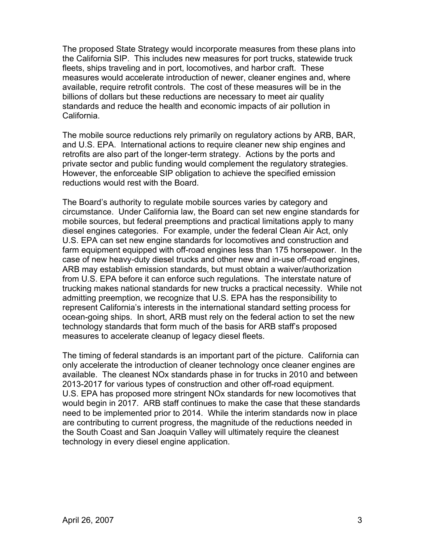The proposed State Strategy would incorporate measures from these plans into the California SIP. This includes new measures for port trucks, statewide truck fleets, ships traveling and in port, locomotives, and harbor craft. These measures would accelerate introduction of newer, cleaner engines and, where available, require retrofit controls. The cost of these measures will be in the billions of dollars but these reductions are necessary to meet air quality standards and reduce the health and economic impacts of air pollution in California.

The mobile source reductions rely primarily on regulatory actions by ARB, BAR, and U.S. EPA. International actions to require cleaner new ship engines and retrofits are also part of the longer-term strategy. Actions by the ports and private sector and public funding would complement the regulatory strategies. However, the enforceable SIP obligation to achieve the specified emission reductions would rest with the Board.

The Board's authority to regulate mobile sources varies by category and circumstance. Under California law, the Board can set new engine standards for mobile sources, but federal preemptions and practical limitations apply to many diesel engines categories. For example, under the federal Clean Air Act, only U.S. EPA can set new engine standards for locomotives and construction and farm equipment equipped with off-road engines less than 175 horsepower. In the case of new heavy-duty diesel trucks and other new and in-use off-road engines, ARB may establish emission standards, but must obtain a waiver/authorization from U.S. EPA before it can enforce such regulations. The interstate nature of trucking makes national standards for new trucks a practical necessity. While not admitting preemption, we recognize that U.S. EPA has the responsibility to represent California's interests in the international standard setting process for ocean-going ships. In short, ARB must rely on the federal action to set the new technology standards that form much of the basis for ARB staff's proposed measures to accelerate cleanup of legacy diesel fleets.

The timing of federal standards is an important part of the picture. California can only accelerate the introduction of cleaner technology once cleaner engines are available. The cleanest NOx standards phase in for trucks in 2010 and between 2013-2017 for various types of construction and other off-road equipment. U.S. EPA has proposed more stringent NOx standards for new locomotives that would begin in 2017. ARB staff continues to make the case that these standards need to be implemented prior to 2014. While the interim standards now in place are contributing to current progress, the magnitude of the reductions needed in the South Coast and San Joaquin Valley will ultimately require the cleanest technology in every diesel engine application.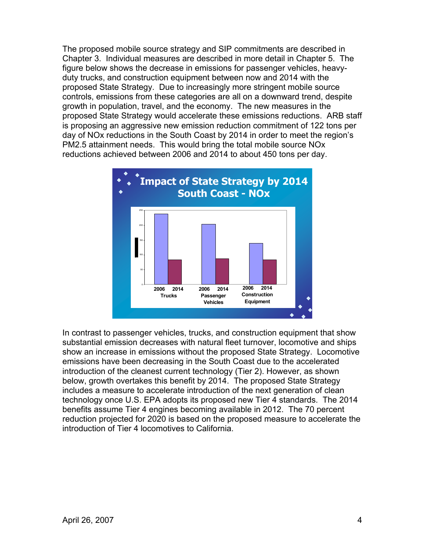The proposed mobile source strategy and SIP commitments are described in Chapter 3. Individual measures are described in more detail in Chapter 5. The figure below shows the decrease in emissions for passenger vehicles, heavyduty trucks, and construction equipment between now and 2014 with the proposed State Strategy. Due to increasingly more stringent mobile source controls, emissions from these categories are all on a downward trend, despite growth in population, travel, and the economy. The new measures in the proposed State Strategy would accelerate these emissions reductions. ARB staff is proposing an aggressive new emission reduction commitment of 122 tons per day of NOx reductions in the South Coast by 2014 in order to meet the region's PM2.5 attainment needs. This would bring the total mobile source NOx reductions achieved between 2006 and 2014 to about 450 tons per day.



In contrast to passenger vehicles, trucks, and construction equipment that show substantial emission decreases with natural fleet turnover, locomotive and ships show an increase in emissions without the proposed State Strategy. Locomotive emissions have been decreasing in the South Coast due to the accelerated introduction of the cleanest current technology (Tier 2). However, as shown below, growth overtakes this benefit by 2014. The proposed State Strategy includes a measure to accelerate introduction of the next generation of clean technology once U.S. EPA adopts its proposed new Tier 4 standards. The 2014 benefits assume Tier 4 engines becoming available in 2012. The 70 percent reduction projected for 2020 is based on the proposed measure to accelerate the introduction of Tier 4 locomotives to California.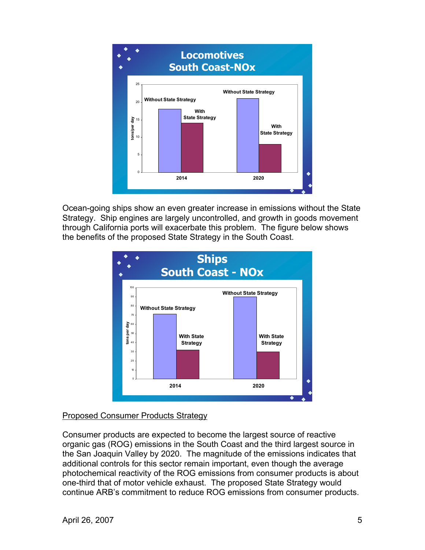

Ocean-going ships show an even greater increase in emissions without the State Strategy. Ship engines are largely uncontrolled, and growth in goods movement through California ports will exacerbate this problem. The figure below shows the benefits of the proposed State Strategy in the South Coast.



# Proposed Consumer Products Strategy

Consumer products are expected to become the largest source of reactive organic gas (ROG) emissions in the South Coast and the third largest source in the San Joaquin Valley by 2020. The magnitude of the emissions indicates that additional controls for this sector remain important, even though the average photochemical reactivity of the ROG emissions from consumer products is about one-third that of motor vehicle exhaust. The proposed State Strategy would continue ARB's commitment to reduce ROG emissions from consumer products.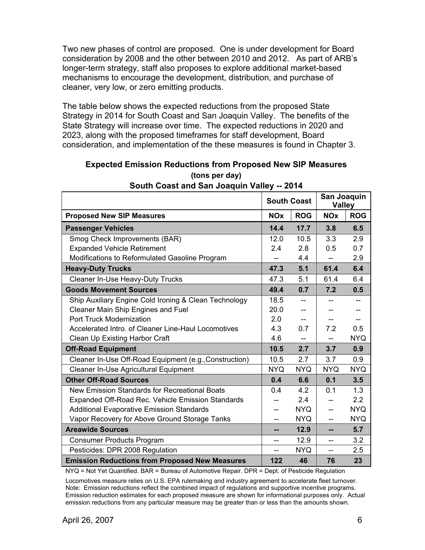Two new phases of control are proposed. One is under development for Board consideration by 2008 and the other between 2010 and 2012. As part of ARB's longer-term strategy, staff also proposes to explore additional market-based mechanisms to encourage the development, distribution, and purchase of cleaner, very low, or zero emitting products.

The table below shows the expected reductions from the proposed State Strategy in 2014 for South Coast and San Joaquin Valley. The benefits of the State Strategy will increase over time. The expected reductions in 2020 and 2023, along with the proposed timeframes for staff development, Board consideration, and implementation of the these measures is found in Chapter 3.

|                                                        | <b>South Coast</b>    |            | San Joaquin<br><b>Valley</b> |                  |
|--------------------------------------------------------|-----------------------|------------|------------------------------|------------------|
| <b>Proposed New SIP Measures</b>                       | <b>NO<sub>x</sub></b> | <b>ROG</b> | <b>NOx</b>                   | <b>ROG</b>       |
| <b>Passenger Vehicles</b>                              | 14.4                  | 17.7       | 3.8                          | 6.5              |
| Smog Check Improvements (BAR)                          | 12.0                  | 10.5       | 3.3                          | 2.9              |
| <b>Expanded Vehicle Retirement</b>                     | 2.4                   | 2.8        | 0.5                          | 0.7              |
| Modifications to Reformulated Gasoline Program         |                       | 4.4        |                              | 2.9              |
| <b>Heavy-Duty Trucks</b>                               | 47.3                  | 5.1        | 61.4                         | 6.4              |
| Cleaner In-Use Heavy-Duty Trucks                       | 47.3                  | 5.1        | 61.4                         | 6.4              |
| <b>Goods Movement Sources</b>                          | 49.4                  | 0.7        | 7.2                          | 0.5              |
| Ship Auxiliary Engine Cold Ironing & Clean Technology  | 18.5                  | $-$        | --                           | $-$              |
| <b>Cleaner Main Ship Engines and Fuel</b>              | 20.0                  |            |                              |                  |
| <b>Port Truck Modernization</b>                        | 2.0                   |            |                              |                  |
| Accelerated Intro. of Cleaner Line-Haul Locomotives    | 4.3                   | 0.7        | 7.2                          | 0.5              |
| Clean Up Existing Harbor Craft                         | 4.6                   | $-$        | $-$                          | <b>NYQ</b>       |
| <b>Off-Road Equipment</b>                              | 10.5                  | 2.7        | 3.7                          | 0.9              |
| Cleaner In-Use Off-Road Equipment (e.g., Construction) | 10.5                  | 2.7        | 3.7                          | 0.9              |
| <b>Cleaner In-Use Agricultural Equipment</b>           | <b>NYQ</b>            | <b>NYQ</b> | <b>NYQ</b>                   | <b>NYQ</b>       |
| <b>Other Off-Road Sources</b>                          | 0.4                   | 6.6        | 0.1                          | 3.5              |
| New Emission Standards for Recreational Boats          | 0.4                   | 4.2        | 0.1                          | 1.3              |
| Expanded Off-Road Rec. Vehicle Emission Standards      |                       | 2.4        |                              | $2.2\phantom{0}$ |
| <b>Additional Evaporative Emission Standards</b>       | --                    | NYQ.       | $-$                          | <b>NYQ</b>       |
| Vapor Recovery for Above Ground Storage Tanks          | --                    | <b>NYQ</b> | $-$                          | <b>NYQ</b>       |
| <b>Areawide Sources</b>                                | --                    | 12.9       | --                           | 5.7              |
| <b>Consumer Products Program</b>                       | --                    | 12.9       | $-$                          | 3.2              |
| Pesticides: DPR 2008 Regulation                        | --                    | <b>NYQ</b> | $-$                          | 2.5              |
| <b>Emission Reductions from Proposed New Measures</b>  | 122                   | 46         | 76                           | 23               |

## **Expected Emission Reductions from Proposed New SIP Measures (tons per day)**

**South Coast and San Joaquin Valley -- 2014** 

NYQ = Not Yet Quantified. BAR = Bureau of Automotive Repair. DPR = Dept. of Pesticide Regulation

Locomotives measure relies on U.S. EPA rulemaking and industry agreement to accelerate fleet turnover. Note: Emission reductions reflect the combined impact of regulations and supportive incentive programs. Emission reduction estimates for each proposed measure are shown for informational purposes only. Actual emission reductions from any particular measure may be greater than or less than the amounts shown.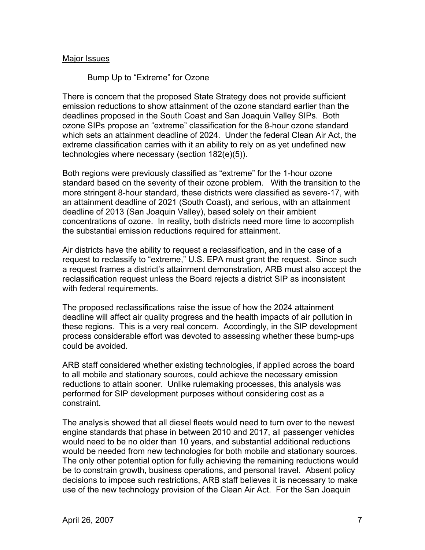#### Major Issues

### Bump Up to "Extreme" for Ozone

There is concern that the proposed State Strategy does not provide sufficient emission reductions to show attainment of the ozone standard earlier than the deadlines proposed in the South Coast and San Joaquin Valley SIPs. Both ozone SIPs propose an "extreme" classification for the 8-hour ozone standard which sets an attainment deadline of 2024. Under the federal Clean Air Act, the extreme classification carries with it an ability to rely on as yet undefined new technologies where necessary (section 182(e)(5)).

Both regions were previously classified as "extreme" for the 1-hour ozone standard based on the severity of their ozone problem. With the transition to the more stringent 8-hour standard, these districts were classified as severe-17, with an attainment deadline of 2021 (South Coast), and serious, with an attainment deadline of 2013 (San Joaquin Valley), based solely on their ambient concentrations of ozone. In reality, both districts need more time to accomplish the substantial emission reductions required for attainment.

Air districts have the ability to request a reclassification, and in the case of a request to reclassify to "extreme," U.S. EPA must grant the request. Since such a request frames a district's attainment demonstration, ARB must also accept the reclassification request unless the Board rejects a district SIP as inconsistent with federal requirements.

The proposed reclassifications raise the issue of how the 2024 attainment deadline will affect air quality progress and the health impacts of air pollution in these regions. This is a very real concern. Accordingly, in the SIP development process considerable effort was devoted to assessing whether these bump-ups could be avoided.

ARB staff considered whether existing technologies, if applied across the board to all mobile and stationary sources, could achieve the necessary emission reductions to attain sooner. Unlike rulemaking processes, this analysis was performed for SIP development purposes without considering cost as a constraint.

The analysis showed that all diesel fleets would need to turn over to the newest engine standards that phase in between 2010 and 2017, all passenger vehicles would need to be no older than 10 years, and substantial additional reductions would be needed from new technologies for both mobile and stationary sources. The only other potential option for fully achieving the remaining reductions would be to constrain growth, business operations, and personal travel. Absent policy decisions to impose such restrictions, ARB staff believes it is necessary to make use of the new technology provision of the Clean Air Act. For the San Joaquin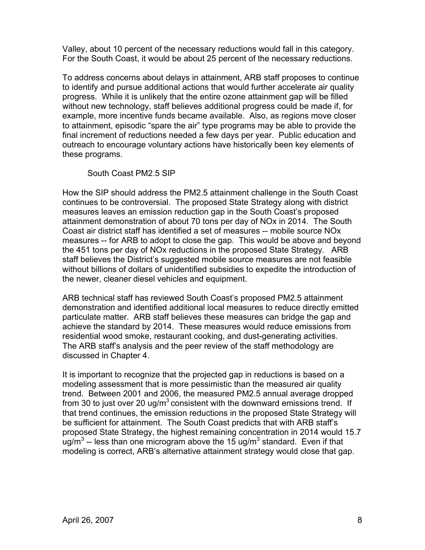Valley, about 10 percent of the necessary reductions would fall in this category. For the South Coast, it would be about 25 percent of the necessary reductions.

To address concerns about delays in attainment, ARB staff proposes to continue to identify and pursue additional actions that would further accelerate air quality progress. While it is unlikely that the entire ozone attainment gap will be filled without new technology, staff believes additional progress could be made if, for example, more incentive funds became available. Also, as regions move closer to attainment, episodic "spare the air" type programs may be able to provide the final increment of reductions needed a few days per year. Public education and outreach to encourage voluntary actions have historically been key elements of these programs.

South Coast PM2.5 SIP

How the SIP should address the PM2.5 attainment challenge in the South Coast continues to be controversial. The proposed State Strategy along with district measures leaves an emission reduction gap in the South Coast's proposed attainment demonstration of about 70 tons per day of NOx in 2014. The South Coast air district staff has identified a set of measures -- mobile source NOx measures -- for ARB to adopt to close the gap. This would be above and beyond the 451 tons per day of NOx reductions in the proposed State Strategy. ARB staff believes the District's suggested mobile source measures are not feasible without billions of dollars of unidentified subsidies to expedite the introduction of the newer, cleaner diesel vehicles and equipment.

ARB technical staff has reviewed South Coast's proposed PM2.5 attainment demonstration and identified additional local measures to reduce directly emitted particulate matter. ARB staff believes these measures can bridge the gap and achieve the standard by 2014. These measures would reduce emissions from residential wood smoke, restaurant cooking, and dust-generating activities. The ARB staff's analysis and the peer review of the staff methodology are discussed in Chapter 4.

It is important to recognize that the projected gap in reductions is based on a modeling assessment that is more pessimistic than the measured air quality trend. Between 2001 and 2006, the measured PM2.5 annual average dropped from 30 to just over 20 ug/ $m^3$  consistent with the downward emissions trend. If that trend continues, the emission reductions in the proposed State Strategy will be sufficient for attainment. The South Coast predicts that with ARB staff's proposed State Strategy, the highest remaining concentration in 2014 would 15.7 ug/m<sup>3</sup> -- less than one microgram above the 15 ug/m<sup>3</sup> standard. Even if that modeling is correct, ARB's alternative attainment strategy would close that gap.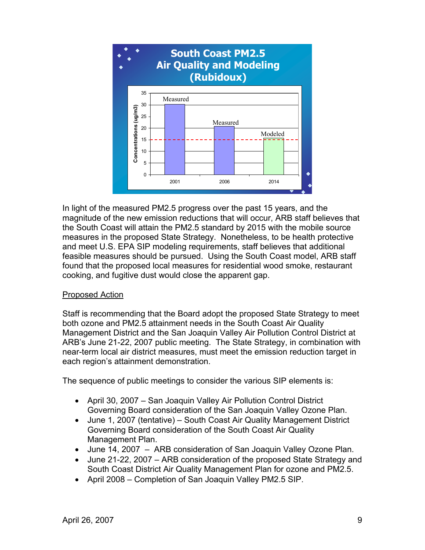

In light of the measured PM2.5 progress over the past 15 years, and the magnitude of the new emission reductions that will occur, ARB staff believes that the South Coast will attain the PM2.5 standard by 2015 with the mobile source measures in the proposed State Strategy. Nonetheless, to be health protective and meet U.S. EPA SIP modeling requirements, staff believes that additional feasible measures should be pursued. Using the South Coast model, ARB staff found that the proposed local measures for residential wood smoke, restaurant cooking, and fugitive dust would close the apparent gap.

# Proposed Action

Staff is recommending that the Board adopt the proposed State Strategy to meet both ozone and PM2.5 attainment needs in the South Coast Air Quality Management District and the San Joaquin Valley Air Pollution Control District at ARB's June 21-22, 2007 public meeting. The State Strategy, in combination with near-term local air district measures, must meet the emission reduction target in each region's attainment demonstration.

The sequence of public meetings to consider the various SIP elements is:

- April 30, 2007 San Joaquin Valley Air Pollution Control District Governing Board consideration of the San Joaquin Valley Ozone Plan.
- June 1, 2007 (tentative) South Coast Air Quality Management District Governing Board consideration of the South Coast Air Quality Management Plan.
- June 14, 2007 ARB consideration of San Joaquin Valley Ozone Plan.
- June 21-22, 2007 ARB consideration of the proposed State Strategy and South Coast District Air Quality Management Plan for ozone and PM2.5.
- April 2008 Completion of San Joaquin Valley PM2.5 SIP.